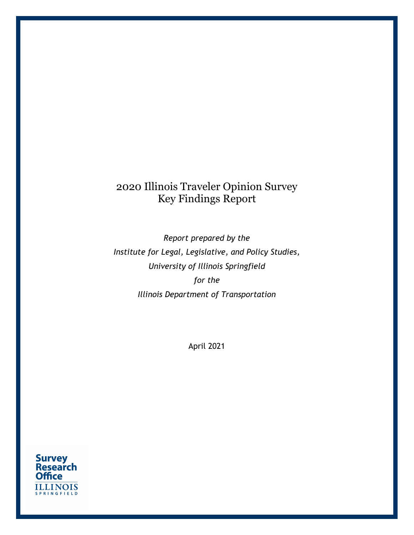# 2020 Illinois Traveler Opinion Survey Key Findings Report

Report prepared by the Institute for Legal, Legislative, and Policy Studies, University of Illinois Springfield for the Illinois Department of Transportation

April 2021

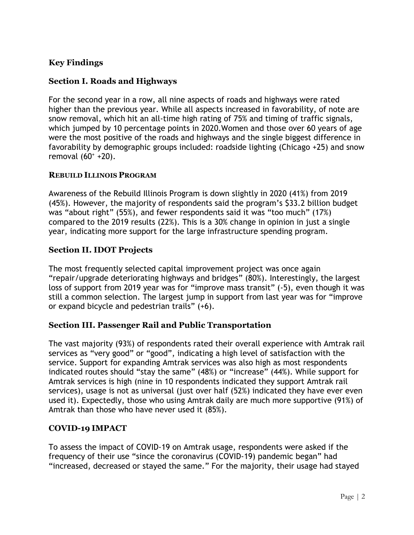# Key Findings

# Section I. Roads and Highways

For the second year in a row, all nine aspects of roads and highways were rated higher than the previous year. While all aspects increased in favorability, of note are snow removal, which hit an all-time high rating of 75% and timing of traffic signals, which jumped by 10 percentage points in 2020.Women and those over 60 years of age were the most positive of the roads and highways and the single biggest difference in favorability by demographic groups included: roadside lighting (Chicago +25) and snow removal (60<sup>+</sup> +20).

## REBUILD ILLINOIS PROGRAM

Awareness of the Rebuild Illinois Program is down slightly in 2020 (41%) from 2019 (45%). However, the majority of respondents said the program's \$33.2 billion budget was "about right" (55%), and fewer respondents said it was "too much" (17%) compared to the 2019 results (22%). This is a 30% change in opinion in just a single year, indicating more support for the large infrastructure spending program.

# Section II. IDOT Projects

The most frequently selected capital improvement project was once again "repair/upgrade deteriorating highways and bridges" (80%). Interestingly, the largest loss of support from 2019 year was for "improve mass transit" (-5), even though it was still a common selection. The largest jump in support from last year was for "improve or expand bicycle and pedestrian trails" (+6).

## Section III. Passenger Rail and Public Transportation

The vast majority (93%) of respondents rated their overall experience with Amtrak rail services as "very good" or "good", indicating a high level of satisfaction with the service. Support for expanding Amtrak services was also high as most respondents indicated routes should "stay the same" (48%) or "increase" (44%). While support for Amtrak services is high (nine in 10 respondents indicated they support Amtrak rail services), usage is not as universal (just over half (52%) indicated they have ever even used it). Expectedly, those who using Amtrak daily are much more supportive (91%) of Amtrak than those who have never used it (85%).

## COVID-19 IMPACT

To assess the impact of COVID-19 on Amtrak usage, respondents were asked if the frequency of their use "since the coronavirus (COVID-19) pandemic began" had "increased, decreased or stayed the same." For the majority, their usage had stayed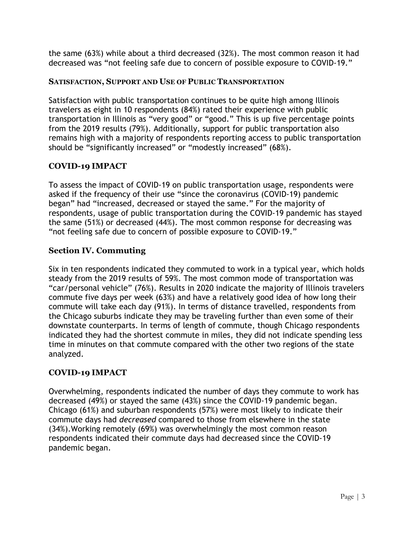the same (63%) while about a third decreased (32%). The most common reason it had decreased was "not feeling safe due to concern of possible exposure to COVID-19."

# SATISFACTION, SUPPORT AND USE OF PUBLIC TRANSPORTATION

Satisfaction with public transportation continues to be quite high among Illinois travelers as eight in 10 respondents (84%) rated their experience with public transportation in Illinois as "very good" or "good." This is up five percentage points from the 2019 results (79%). Additionally, support for public transportation also remains high with a majority of respondents reporting access to public transportation should be "significantly increased" or "modestly increased" (68%).

# COVID-19 IMPACT

To assess the impact of COVID-19 on public transportation usage, respondents were asked if the frequency of their use "since the coronavirus (COVID-19) pandemic began" had "increased, decreased or stayed the same." For the majority of respondents, usage of public transportation during the COVID-19 pandemic has stayed the same (51%) or decreased (44%). The most common response for decreasing was "not feeling safe due to concern of possible exposure to COVID-19."

# Section IV. Commuting

Six in ten respondents indicated they commuted to work in a typical year, which holds steady from the 2019 results of 59%. The most common mode of transportation was "car/personal vehicle" (76%). Results in 2020 indicate the majority of Illinois travelers commute five days per week (63%) and have a relatively good idea of how long their commute will take each day (91%). In terms of distance travelled, respondents from the Chicago suburbs indicate they may be traveling further than even some of their downstate counterparts. In terms of length of commute, though Chicago respondents indicated they had the shortest commute in miles, they did not indicate spending less time in minutes on that commute compared with the other two regions of the state analyzed.

# COVID-19 IMPACT

Overwhelming, respondents indicated the number of days they commute to work has decreased (49%) or stayed the same (43%) since the COVID-19 pandemic began. Chicago (61%) and suburban respondents (57%) were most likely to indicate their commute days had decreased compared to those from elsewhere in the state (34%).Working remotely (69%) was overwhelmingly the most common reason respondents indicated their commute days had decreased since the COVID-19 pandemic began.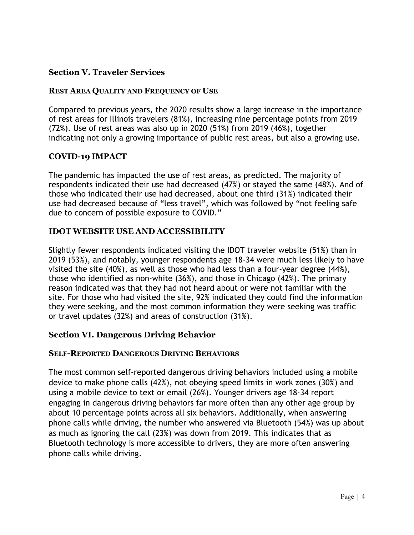# Section V. Traveler Services

## REST AREA QUALITY AND FREQUENCY OF USE

Compared to previous years, the 2020 results show a large increase in the importance of rest areas for Illinois travelers (81%), increasing nine percentage points from 2019 (72%). Use of rest areas was also up in 2020 (51%) from 2019 (46%), together indicating not only a growing importance of public rest areas, but also a growing use.

## COVID-19 IMPACT

The pandemic has impacted the use of rest areas, as predicted. The majority of respondents indicated their use had decreased (47%) or stayed the same (48%). And of those who indicated their use had decreased, about one third (31%) indicated their use had decreased because of "less travel", which was followed by "not feeling safe due to concern of possible exposure to COVID."

#### IDOT WEBSITE USE AND ACCESSIBILITY

Slightly fewer respondents indicated visiting the IDOT traveler website (51%) than in 2019 (53%), and notably, younger respondents age 18-34 were much less likely to have visited the site (40%), as well as those who had less than a four-year degree (44%), those who identified as non-white (36%), and those in Chicago (42%). The primary reason indicated was that they had not heard about or were not familiar with the site. For those who had visited the site, 92% indicated they could find the information they were seeking, and the most common information they were seeking was traffic or travel updates (32%) and areas of construction (31%).

## Section VI. Dangerous Driving Behavior

#### SELF-REPORTED DANGEROUS DRIVING BEHAVIORS

The most common self-reported dangerous driving behaviors included using a mobile device to make phone calls (42%), not obeying speed limits in work zones (30%) and using a mobile device to text or email (26%). Younger drivers age 18-34 report engaging in dangerous driving behaviors far more often than any other age group by about 10 percentage points across all six behaviors. Additionally, when answering phone calls while driving, the number who answered via Bluetooth (54%) was up about as much as ignoring the call (23%) was down from 2019. This indicates that as Bluetooth technology is more accessible to drivers, they are more often answering phone calls while driving.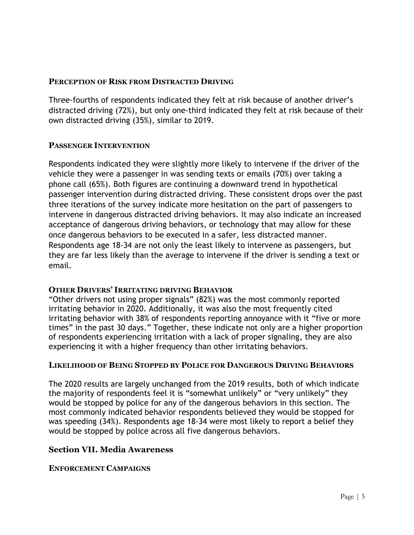## PERCEPTION OF RISK FROM DISTRACTED DRIVING

Three-fourths of respondents indicated they felt at risk because of another driver's distracted driving (72%), but only one-third indicated they felt at risk because of their own distracted driving (35%), similar to 2019.

#### PASSENGER INTERVENTION

Respondents indicated they were slightly more likely to intervene if the driver of the vehicle they were a passenger in was sending texts or emails (70%) over taking a phone call (65%). Both figures are continuing a downward trend in hypothetical passenger intervention during distracted driving. These consistent drops over the past three iterations of the survey indicate more hesitation on the part of passengers to intervene in dangerous distracted driving behaviors. It may also indicate an increased acceptance of dangerous driving behaviors, or technology that may allow for these once dangerous behaviors to be executed in a safer, less distracted manner. Respondents age 18-34 are not only the least likely to intervene as passengers, but they are far less likely than the average to intervene if the driver is sending a text or email.

#### OTHER DRIVERS' IRRITATING DRIVING BEHAVIOR

"Other drivers not using proper signals" (82%) was the most commonly reported irritating behavior in 2020. Additionally, it was also the most frequently cited irritating behavior with 38% of respondents reporting annoyance with it "five or more times" in the past 30 days." Together, these indicate not only are a higher proportion of respondents experiencing irritation with a lack of proper signaling, they are also experiencing it with a higher frequency than other irritating behaviors.

#### LIKELIHOOD OF BEING STOPPED BY POLICE FOR DANGEROUS DRIVING BEHAVIORS

The 2020 results are largely unchanged from the 2019 results, both of which indicate the majority of respondents feel it is "somewhat unlikely" or "very unlikely" they would be stopped by police for any of the dangerous behaviors in this section. The most commonly indicated behavior respondents believed they would be stopped for was speeding (34%). Respondents age 18-34 were most likely to report a belief they would be stopped by police across all five dangerous behaviors.

#### Section VII. Media Awareness

#### ENFORCEMENT CAMPAIGNS